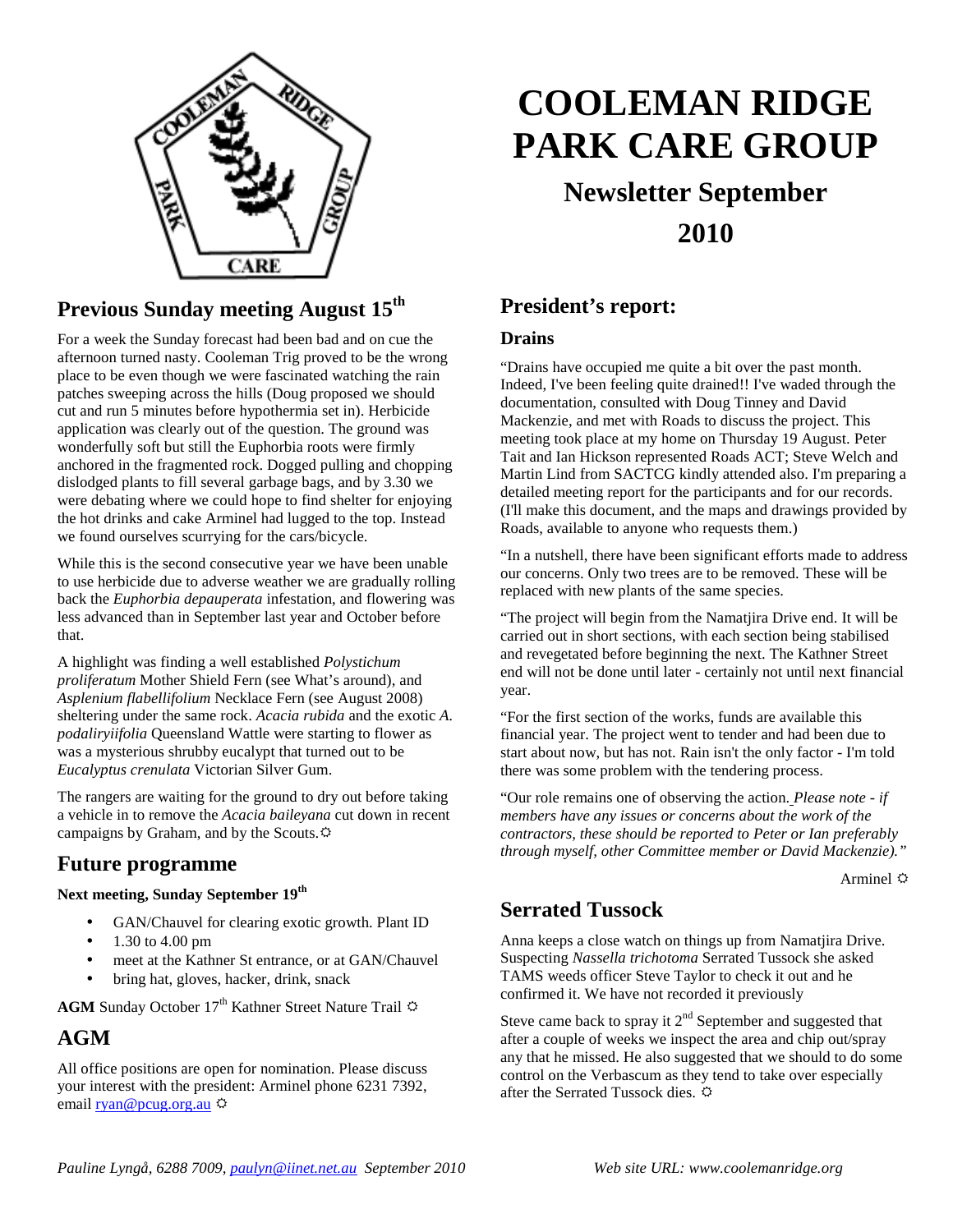

# **Previous Sunday meeting August 15th**

For a week the Sunday forecast had been bad and on cue the afternoon turned nasty. Cooleman Trig proved to be the wrong place to be even though we were fascinated watching the rain patches sweeping across the hills (Doug proposed we should cut and run 5 minutes before hypothermia set in). Herbicide application was clearly out of the question. The ground was wonderfully soft but still the Euphorbia roots were firmly anchored in the fragmented rock. Dogged pulling and chopping dislodged plants to fill several garbage bags, and by 3.30 we were debating where we could hope to find shelter for enjoying the hot drinks and cake Arminel had lugged to the top. Instead we found ourselves scurrying for the cars/bicycle.

While this is the second consecutive year we have been unable to use herbicide due to adverse weather we are gradually rolling back the *Euphorbia depauperata* infestation, and flowering was less advanced than in September last year and October before that.

A highlight was finding a well established *Polystichum proliferatum* Mother Shield Fern (see What's around), and *Asplenium flabellifolium* Necklace Fern (see August 2008) sheltering under the same rock. *Acacia rubida* and the exotic *A. podaliryiifolia* Queensland Wattle were starting to flower as was a mysterious shrubby eucalypt that turned out to be *Eucalyptus crenulata* Victorian Silver Gum.

The rangers are waiting for the ground to dry out before taking a vehicle in to remove the *Acacia baileyana* cut down in recent campaigns by Graham, and by the Scouts.

# **Future programme**

#### **Next meeting, Sunday September 19th**

- GAN/Chauvel for clearing exotic growth. Plant ID
- 1.30 to 4.00 pm
- meet at the Kathner St entrance, or at GAN/Chauvel
- bring hat, gloves, hacker, drink, snack

**AGM** Sunday October 17<sup>th</sup> Kathner Street Nature Trail  $\Phi$ 

# **AGM**

All office positions are open for nomination. Please discuss your interest with the president: Arminel phone 6231 7392, email ryan@pcug.org.au  $\ddot{\varphi}$ 

# **COOLEMAN RIDGE PARK CARE GROUP**

# **Newsletter September 2010**

# **President's report:**

#### **Drains**

"Drains have occupied me quite a bit over the past month. Indeed, I've been feeling quite drained!! I've waded through the documentation, consulted with Doug Tinney and David Mackenzie, and met with Roads to discuss the project. This meeting took place at my home on Thursday 19 August. Peter Tait and Ian Hickson represented Roads ACT; Steve Welch and Martin Lind from SACTCG kindly attended also. I'm preparing a detailed meeting report for the participants and for our records. (I'll make this document, and the maps and drawings provided by Roads, available to anyone who requests them.)

"In a nutshell, there have been significant efforts made to address our concerns. Only two trees are to be removed. These will be replaced with new plants of the same species.

"The project will begin from the Namatjira Drive end. It will be carried out in short sections, with each section being stabilised and revegetated before beginning the next. The Kathner Street end will not be done until later - certainly not until next financial year.

"For the first section of the works, funds are available this financial year. The project went to tender and had been due to start about now, but has not. Rain isn't the only factor - I'm told there was some problem with the tendering process.

"Our role remains one of observing the action. *Please note - if members have any issues or concerns about the work of the contractors, these should be reported to Peter or Ian preferably through myself, other Committee member or David Mackenzie)."* 

Arminel

# **Serrated Tussock**

Anna keeps a close watch on things up from Namatjira Drive. Suspecting *Nassella trichotoma* Serrated Tussock she asked TAMS weeds officer Steve Taylor to check it out and he confirmed it. We have not recorded it previously

Steve came back to spray it  $2<sup>nd</sup>$  September and suggested that after a couple of weeks we inspect the area and chip out/spray any that he missed. He also suggested that we should to do some control on the Verbascum as they tend to take over especially after the Serrated Tussock dies.